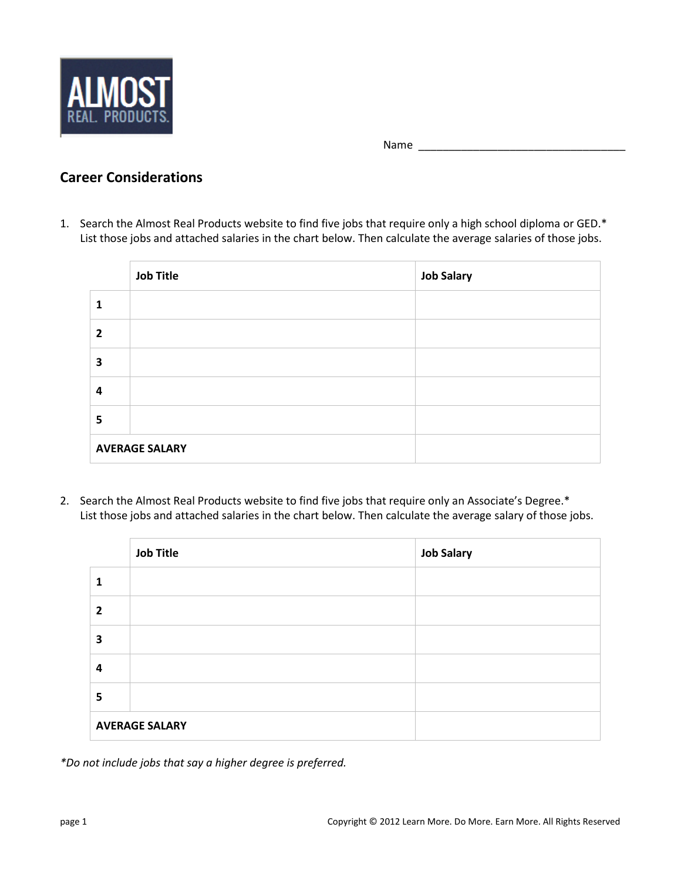

Name \_\_\_\_\_\_\_\_\_\_\_\_\_\_\_\_\_\_\_\_\_\_\_\_\_\_\_\_\_\_\_\_\_\_

## **Career Considerations**

1. Search the Almost Real Products website to find five jobs that require only a high school diploma or GED.\* List those jobs and attached salaries in the chart below. Then calculate the average salaries of those jobs.

|   | <b>Job Title</b>      | <b>Job Salary</b> |
|---|-----------------------|-------------------|
|   |                       |                   |
| 2 |                       |                   |
| 3 |                       |                   |
| 4 |                       |                   |
| 5 |                       |                   |
|   | <b>AVERAGE SALARY</b> |                   |

2. Search the Almost Real Products website to find five jobs that require only an Associate's Degree.\* List those jobs and attached salaries in the chart below. Then calculate the average salary of those jobs.

|   | <b>Job Title</b>      | <b>Job Salary</b> |
|---|-----------------------|-------------------|
| 1 |                       |                   |
| 2 |                       |                   |
| 3 |                       |                   |
| 4 |                       |                   |
| 5 |                       |                   |
|   | <b>AVERAGE SALARY</b> |                   |

*\*Do not include jobs that say a higher degree is preferred.*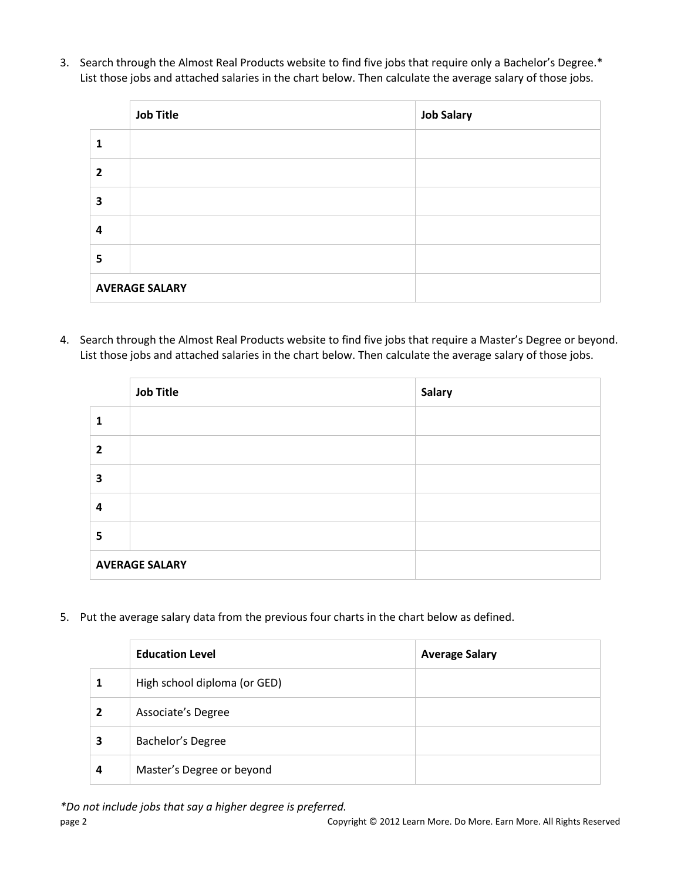3. Search through the Almost Real Products website to find five jobs that require only a Bachelor's Degree.\* List those jobs and attached salaries in the chart below. Then calculate the average salary of those jobs.

|                         | <b>Job Title</b>      | <b>Job Salary</b> |
|-------------------------|-----------------------|-------------------|
| 1                       |                       |                   |
| $\overline{2}$          |                       |                   |
| $\overline{\mathbf{3}}$ |                       |                   |
| 4                       |                       |                   |
| 5                       |                       |                   |
|                         | <b>AVERAGE SALARY</b> |                   |

4. Search through the Almost Real Products website to find five jobs that require a Master's Degree or beyond. List those jobs and attached salaries in the chart below. Then calculate the average salary of those jobs.

|   | <b>Job Title</b>      | <b>Salary</b> |
|---|-----------------------|---------------|
|   |                       |               |
| 2 |                       |               |
| 3 |                       |               |
| 4 |                       |               |
| 5 |                       |               |
|   | <b>AVERAGE SALARY</b> |               |

5. Put the average salary data from the previous four charts in the chart below as defined.

|   | <b>Education Level</b>       | <b>Average Salary</b> |
|---|------------------------------|-----------------------|
|   | High school diploma (or GED) |                       |
| 2 | Associate's Degree           |                       |
|   | Bachelor's Degree            |                       |
| 4 | Master's Degree or beyond    |                       |

*\*Do not include jobs that say a higher degree is preferred.*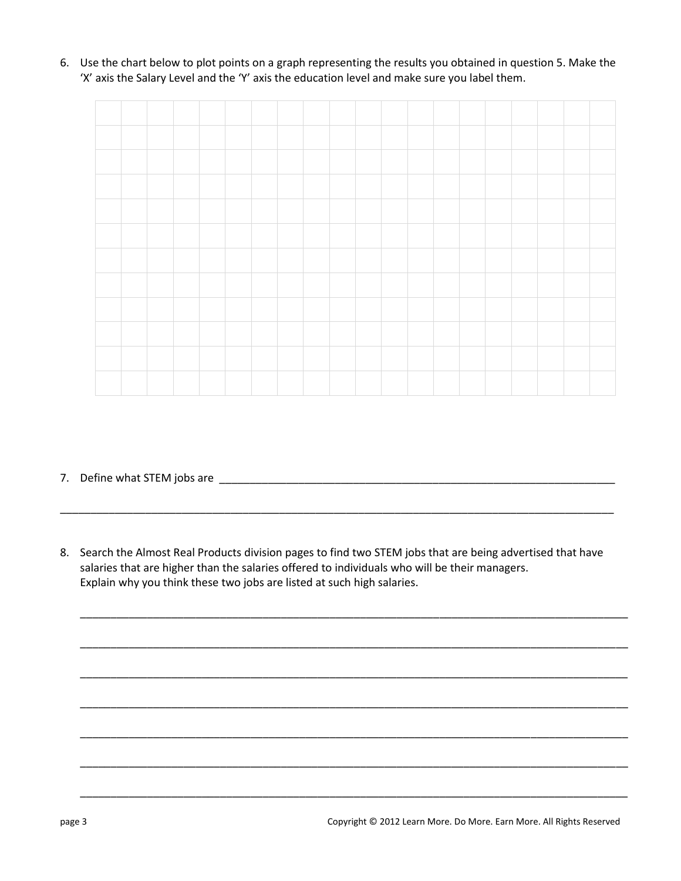6. Use the chart below to plot points on a graph representing the results you obtained in question 5. Make the 'X' axis the Salary Level and the 'Y' axis the education level and make sure you label them.

7. Define what STEM jobs are \_\_\_\_\_\_\_\_\_\_\_\_\_\_\_\_\_\_\_\_\_\_\_\_\_\_\_\_\_\_\_\_\_\_\_\_\_\_\_\_\_\_\_\_\_\_\_\_\_\_\_\_\_\_\_\_\_\_\_\_\_\_\_\_\_

8. Search the Almost Real Products division pages to find two STEM jobs that are being advertised that have salaries that are higher than the salaries offered to individuals who will be their managers. Explain why you think these two jobs are listed at such high salaries.

\_\_\_\_\_\_\_\_\_\_\_\_\_\_\_\_\_\_\_\_\_\_\_\_\_\_\_\_\_\_\_\_\_\_\_\_\_\_\_\_\_\_\_\_\_\_\_\_\_\_\_\_\_\_\_\_\_\_\_\_\_\_\_\_\_\_\_\_\_\_\_\_\_\_\_\_\_\_\_\_\_\_\_\_\_\_\_\_\_\_

\_\_\_\_\_\_\_\_\_\_\_\_\_\_\_\_\_\_\_\_\_\_\_\_\_\_\_\_\_\_\_\_\_\_\_\_\_\_\_\_\_\_\_\_\_\_\_\_\_\_\_\_\_\_\_\_\_\_\_\_\_\_\_\_\_\_\_\_\_\_\_\_\_\_\_\_\_\_\_\_\_\_\_\_\_\_\_\_\_\_

\_\_\_\_\_\_\_\_\_\_\_\_\_\_\_\_\_\_\_\_\_\_\_\_\_\_\_\_\_\_\_\_\_\_\_\_\_\_\_\_\_\_\_\_\_\_\_\_\_\_\_\_\_\_\_\_\_\_\_\_\_\_\_\_\_\_\_\_\_\_\_\_\_\_\_\_\_\_\_\_\_\_\_\_\_\_\_\_\_\_

\_\_\_\_\_\_\_\_\_\_\_\_\_\_\_\_\_\_\_\_\_\_\_\_\_\_\_\_\_\_\_\_\_\_\_\_\_\_\_\_\_\_\_\_\_\_\_\_\_\_\_\_\_\_\_\_\_\_\_\_\_\_\_\_\_\_\_\_\_\_\_\_\_\_\_\_\_\_\_\_\_\_\_\_\_\_\_\_\_\_

\_\_\_\_\_\_\_\_\_\_\_\_\_\_\_\_\_\_\_\_\_\_\_\_\_\_\_\_\_\_\_\_\_\_\_\_\_\_\_\_\_\_\_\_\_\_\_\_\_\_\_\_\_\_\_\_\_\_\_\_\_\_\_\_\_\_\_\_\_\_\_\_\_\_\_\_\_\_\_\_\_\_\_\_\_\_\_\_\_\_

\_\_\_\_\_\_\_\_\_\_\_\_\_\_\_\_\_\_\_\_\_\_\_\_\_\_\_\_\_\_\_\_\_\_\_\_\_\_\_\_\_\_\_\_\_\_\_\_\_\_\_\_\_\_\_\_\_\_\_\_\_\_\_\_\_\_\_\_\_\_\_\_\_\_\_\_\_\_\_\_\_\_\_\_\_\_\_\_\_\_

\_\_\_\_\_\_\_\_\_\_\_\_\_\_\_\_\_\_\_\_\_\_\_\_\_\_\_\_\_\_\_\_\_\_\_\_\_\_\_\_\_\_\_\_\_\_\_\_\_\_\_\_\_\_\_\_\_\_\_\_\_\_\_\_\_\_\_\_\_\_\_\_\_\_\_\_\_\_\_\_\_\_\_\_\_\_\_\_\_\_

\_\_\_\_\_\_\_\_\_\_\_\_\_\_\_\_\_\_\_\_\_\_\_\_\_\_\_\_\_\_\_\_\_\_\_\_\_\_\_\_\_\_\_\_\_\_\_\_\_\_\_\_\_\_\_\_\_\_\_\_\_\_\_\_\_\_\_\_\_\_\_\_\_\_\_\_\_\_\_\_\_\_\_\_\_\_\_\_\_\_\_

page 3 Copyright © 2012 Learn More. Do More. Earn More. All Rights Reserved